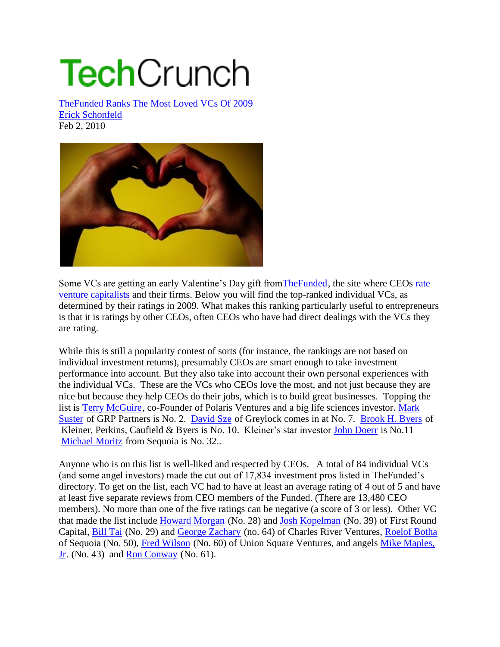## **Tech**Crunch

TheFunded Ranks The Most Loved VCs Of 2009 Erick Schonfeld Feb 2, 2010



Some VCs are getting an early Valentine's Day gift fromTheFunded, the site where CEOs rate venture capitalists and their firms. Below you will find the top-ranked individual VCs, as determined by their ratings in 2009. What makes this ranking particularly useful to entrepreneurs is that it is ratings by other CEOs, often CEOs who have had direct dealings with the VCs they are rating.

While this is still a popularity contest of sorts (for instance, the rankings are not based on individual investment returns), presumably CEOs are smart enough to take investment performance into account. But they also take into account their own personal experiences with the individual VCs. These are the VCs who CEOs love the most, and not just because they are nice but because they help CEOs do their jobs, which is to build great businesses. Topping the list is Terry McGuire, co-Founder of Polaris Ventures and a big life sciences investor. Mark Suster of GRP Partners is No. 2. David Sze of Greylock comes in at No. 7. Brook H. Byers of Kleiner, Perkins, Caufield & Byers is No. 10. Kleiner's star investor John Doerr is No.11 Michael Moritz from Sequoia is No. 32..

Anyone who is on this list is well-liked and respected by CEOs. A total of 84 individual VCs (and some angel investors) made the cut out of 17,834 investment pros listed in TheFunded's directory. To get on the list, each VC had to have at least an average rating of 4 out of 5 and have at least five separate reviews from CEO members of the Funded. (There are 13,480 CEO members). No more than one of the five ratings can be negative (a score of 3 or less). Other VC that made the list include Howard Morgan (No. 28) and Josh Kopelman (No. 39) of First Round Capital, Bill Tai (No. 29) and George Zachary (no. 64) of Charles River Ventures, Roelof Botha of Sequoia (No. 50), Fred Wilson (No. 60) of Union Square Ventures, and angels Mike Maples, Jr. (No. 43) and Ron Conway (No. 61).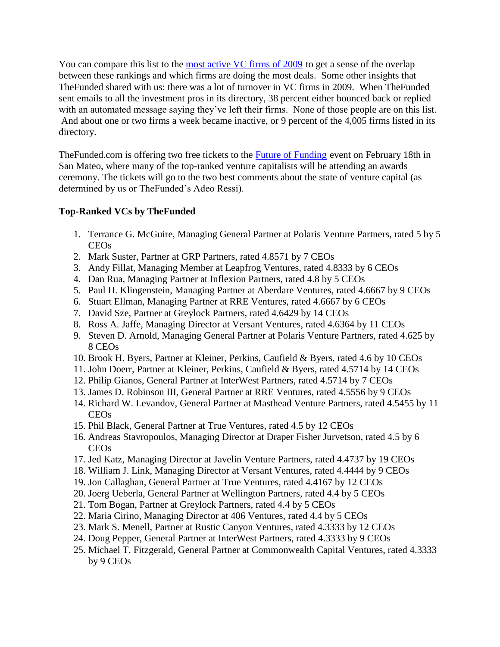You can compare this list to the most active VC firms of 2009 to get a sense of the overlap between these rankings and which firms are doing the most deals. Some other insights that TheFunded shared with us: there was a lot of turnover in VC firms in 2009. When TheFunded sent emails to all the investment pros in its directory, 38 percent either bounced back or replied with an automated message saying they've left their firms. None of those people are on this list. And about one or two firms a week became inactive, or 9 percent of the 4,005 firms listed in its directory.

TheFunded.com is offering two free tickets to the Future of Funding event on February 18th in San Mateo, where many of the top-ranked venture capitalists will be attending an awards ceremony. The tickets will go to the two best comments about the state of venture capital (as determined by us or TheFunded's Adeo Ressi).

## **Top-Ranked VCs by TheFunded**

- 1. Terrance G. McGuire, Managing General Partner at Polaris Venture Partners, rated 5 by 5 CEOs
- 2. Mark Suster, Partner at GRP Partners, rated 4.8571 by 7 CEOs
- 3. Andy Fillat, Managing Member at Leapfrog Ventures, rated 4.8333 by 6 CEOs
- 4. Dan Rua, Managing Partner at Inflexion Partners, rated 4.8 by 5 CEOs
- 5. Paul H. Klingenstein, Managing Partner at Aberdare Ventures, rated 4.6667 by 9 CEOs
- 6. Stuart Ellman, Managing Partner at RRE Ventures, rated 4.6667 by 6 CEOs
- 7. David Sze, Partner at Greylock Partners, rated 4.6429 by 14 CEOs
- 8. Ross A. Jaffe, Managing Director at Versant Ventures, rated 4.6364 by 11 CEOs
- 9. Steven D. Arnold, Managing General Partner at Polaris Venture Partners, rated 4.625 by 8 CEOs
- 10. Brook H. Byers, Partner at Kleiner, Perkins, Caufield & Byers, rated 4.6 by 10 CEOs
- 11. John Doerr, Partner at Kleiner, Perkins, Caufield & Byers, rated 4.5714 by 14 CEOs
- 12. Philip Gianos, General Partner at InterWest Partners, rated 4.5714 by 7 CEOs
- 13. James D. Robinson III, General Partner at RRE Ventures, rated 4.5556 by 9 CEOs
- 14. Richard W. Levandov, General Partner at Masthead Venture Partners, rated 4.5455 by 11 CEOs
- 15. Phil Black, General Partner at True Ventures, rated 4.5 by 12 CEOs
- 16. Andreas Stavropoulos, Managing Director at Draper Fisher Jurvetson, rated 4.5 by 6 CEOs
- 17. Jed Katz, Managing Director at Javelin Venture Partners, rated 4.4737 by 19 CEOs
- 18. William J. Link, Managing Director at Versant Ventures, rated 4.4444 by 9 CEOs
- 19. Jon Callaghan, General Partner at True Ventures, rated 4.4167 by 12 CEOs
- 20. Joerg Ueberla, General Partner at Wellington Partners, rated 4.4 by 5 CEOs
- 21. Tom Bogan, Partner at Greylock Partners, rated 4.4 by 5 CEOs
- 22. Maria Cirino, Managing Director at 406 Ventures, rated 4.4 by 5 CEOs
- 23. Mark S. Menell, Partner at Rustic Canyon Ventures, rated 4.3333 by 12 CEOs
- 24. Doug Pepper, General Partner at InterWest Partners, rated 4.3333 by 9 CEOs
- 25. Michael T. Fitzgerald, General Partner at Commonwealth Capital Ventures, rated 4.3333 by 9 CEOs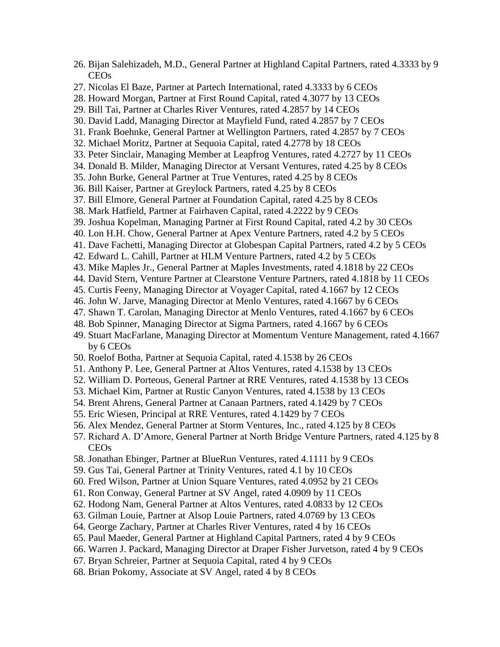- 26. Bijan Salehizadeh, M.D., General Partner at Highland Capital Partners, rated 4.3333 by 9 CEOs 27. Nicolas El Baze, Partner at Partech International, rated 4.3333 by 6 CEOs 28. Howard Morgan, Partner at First Round Capital, rated 4.3077 by 13 CEOs 29. Bill Tai, Partner at Charles River Ventures, rated 4.2857 by 14 CEOs 30. David Ladd, Managing Director at Mayfield Fund, rated 4.2857 by 7 CEOs 31. Frank Boehnke, General Partner at Wellington Partners, rated 4.2857 by 7 CEOs 32. Michael Moritz, Partner at Sequoia Capital, rated 4.2778 by 18 CEOs 33. Peter Sinclair, Managing Member at Leapfrog Ventures, rated 4.2727 by 11 CEOs 34. Donald B. Milder, Managing Director at Versant Ventures, rated 4.25 by 8 CEOs 35. John Burke, General Partner at True Ventures, rated 4.25 by 8 CEOs 36. Bill Kaiser, Partner at Greylock Partners, rated 4.25 by 8 CEOs 37. Bill Elmore, General Partner at Foundation Capital, rated 4.25 by 8 CEOs 38. Mark Hatfield, Partner at Fairhaven Capital, rated 4.2222 by 9 CEOs 39. Joshua Kopelman, Managing Partner at First Round Capital, rated 4.2 by 30 CEOs 40. Lon H.H. Chow, General Partner at Apex Venture Partners, rated 4.2 by 5 CEOs 41. Dave Fachetti, Managing Director at Globespan Capital Partners, rated 4.2 by 5 CEOs 42. Edward L. Cahill, Partner at HLM Venture Partners, rated 4.2 by 5 CEOs 43. Mike Maples Jr., General Partner at Maples Investments, rated 4.1818 by 22 CEOs 44. David Stern, Venture Partner at Clearstone Venture Partners, rated 4.1818 by 11 CEOs 45. Curtis Feeny, Managing Director at Voyager Capital, rated 4.1667 by 12 CEOs 46. John W. Jarve, Managing Director at Menlo Ventures, rated 4.1667 by 6 CEOs 47. Shawn T. Carolan, Managing Director at Menlo Ventures, rated 4.1667 by 6 CEOs 48. Bob Spinner, Managing Director at Sigma Partners, rated 4.1667 by 6 CEOs 49. Stuart MacFarlane, Managing Director at Momentum Venture Management, rated 4.1667 by 6 CEOs 50. Roelof Botha, Partner at Sequoia Capital, rated 4.1538 by 26 CEOs 51. Anthony P. Lee, General Partner at Altos Ventures, rated 4.1538 by 13 CEOs 52. William D. Porteous, General Partner at RRE Ventures, rated 4.1538 by 13 CEOs 53. Michael Kim, Partner at Rustic Canyon Ventures, rated 4.1538 by 13 CEOs 54. Brent Ahrens, General Partner at Canaan Partners, rated 4.1429 by 7 CEOs 55. Eric Wiesen, Principal at RRE Ventures, rated 4.1429 by 7 CEOs 56. Alex Mendez, General Partner at Storm Ventures, Inc., rated 4.125 by 8 CEOs 57. Richard A. D'Amore, General Partner at North Bridge Venture Partners, rated 4.125 by 8 CEOs 58. Jonathan Ebinger, Partner at BlueRun Ventures, rated 4.1111 by 9 CEOs 59. Gus Tai, General Partner at Trinity Ventures, rated 4.1 by 10 CEOs 60. Fred Wilson, Partner at Union Square Ventures, rated 4.0952 by 21 CEOs 61. Ron Conway, General Partner at SV Angel, rated 4.0909 by 11 CEOs 62. Hodong Nam, General Partner at Altos Ventures, rated 4.0833 by 12 CEOs 63. Gilman Louie, Partner at Alsop Louie Partners, rated 4.0769 by 13 CEOs 64. George Zachary, Partner at Charles River Ventures, rated 4 by 16 CEOs 65. Paul Maeder, General Partner at Highland Capital Partners, rated 4 by 9 CEOs 66. Warren J. Packard, Managing Director at Draper Fisher Jurvetson, rated 4 by 9 CEOs 67. Bryan Schreier, Partner at Sequoia Capital, rated 4 by 9 CEOs
	- 68. Brian Pokomy, Associate at SV Angel, rated 4 by 8 CEOs